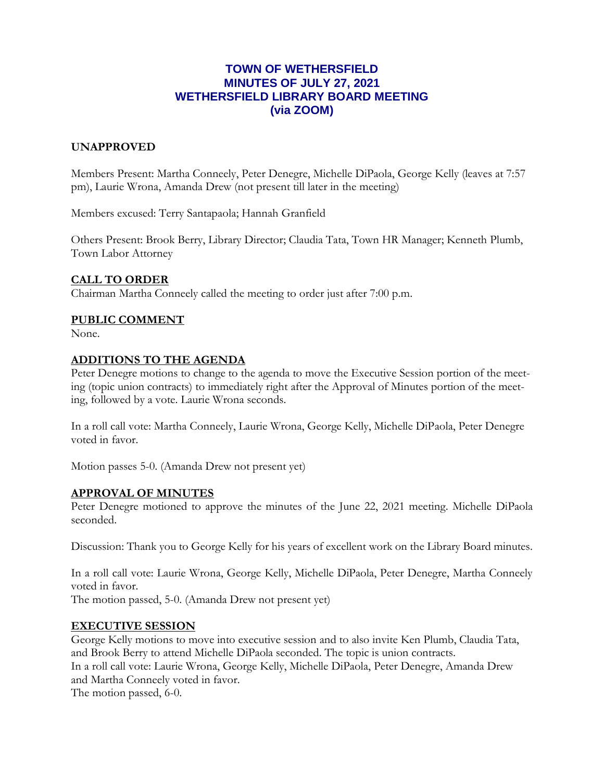# **TOWN OF WETHERSFIELD MINUTES OF JULY 27, 2021 WETHERSFIELD LIBRARY BOARD MEETING (via ZOOM)**

## **UNAPPROVED**

Members Present: Martha Conneely, Peter Denegre, Michelle DiPaola, George Kelly (leaves at 7:57 pm), Laurie Wrona, Amanda Drew (not present till later in the meeting)

Members excused: Terry Santapaola; Hannah Granfield

Others Present: Brook Berry, Library Director; Claudia Tata, Town HR Manager; Kenneth Plumb, Town Labor Attorney

## **CALL TO ORDER**

Chairman Martha Conneely called the meeting to order just after 7:00 p.m.

## **PUBLIC COMMENT**

None.

### **ADDITIONS TO THE AGENDA**

Peter Denegre motions to change to the agenda to move the Executive Session portion of the meeting (topic union contracts) to immediately right after the Approval of Minutes portion of the meeting, followed by a vote. Laurie Wrona seconds.

In a roll call vote: Martha Conneely, Laurie Wrona, George Kelly, Michelle DiPaola, Peter Denegre voted in favor.

Motion passes 5-0. (Amanda Drew not present yet)

### **APPROVAL OF MINUTES**

Peter Denegre motioned to approve the minutes of the June 22, 2021 meeting. Michelle DiPaola seconded.

Discussion: Thank you to George Kelly for his years of excellent work on the Library Board minutes.

In a roll call vote: Laurie Wrona, George Kelly, Michelle DiPaola, Peter Denegre, Martha Conneely voted in favor.

The motion passed, 5-0. (Amanda Drew not present yet)

## **EXECUTIVE SESSION**

George Kelly motions to move into executive session and to also invite Ken Plumb, Claudia Tata, and Brook Berry to attend Michelle DiPaola seconded. The topic is union contracts. In a roll call vote: Laurie Wrona, George Kelly, Michelle DiPaola, Peter Denegre, Amanda Drew and Martha Conneely voted in favor. The motion passed, 6-0.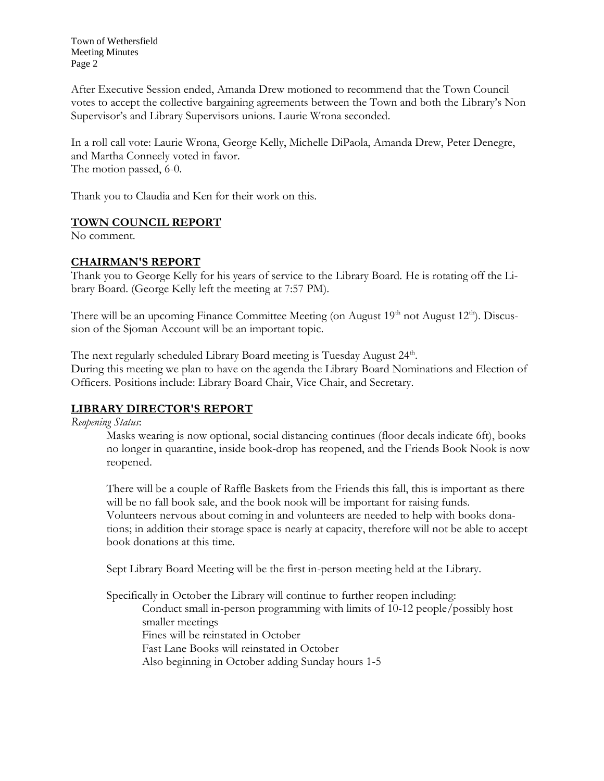Town of Wethersfield Meeting Minutes Page 2

After Executive Session ended, Amanda Drew motioned to recommend that the Town Council votes to accept the collective bargaining agreements between the Town and both the Library's Non Supervisor's and Library Supervisors unions. Laurie Wrona seconded.

In a roll call vote: Laurie Wrona, George Kelly, Michelle DiPaola, Amanda Drew, Peter Denegre, and Martha Conneely voted in favor. The motion passed, 6-0.

Thank you to Claudia and Ken for their work on this.

# **TOWN COUNCIL REPORT**

No comment.

## **CHAIRMAN'S REPORT**

Thank you to George Kelly for his years of service to the Library Board. He is rotating off the Library Board. (George Kelly left the meeting at 7:57 PM).

There will be an upcoming Finance Committee Meeting (on August 19<sup>th</sup> not August 12<sup>th</sup>). Discussion of the Sjoman Account will be an important topic.

The next regularly scheduled Library Board meeting is Tuesday August 24<sup>th</sup>. During this meeting we plan to have on the agenda the Library Board Nominations and Election of Officers. Positions include: Library Board Chair, Vice Chair, and Secretary.

# **LIBRARY DIRECTOR'S REPORT**

*Reopening Status*:

Masks wearing is now optional, social distancing continues (floor decals indicate 6ft), books no longer in quarantine, inside book-drop has reopened, and the Friends Book Nook is now reopened.

There will be a couple of Raffle Baskets from the Friends this fall, this is important as there will be no fall book sale, and the book nook will be important for raising funds. Volunteers nervous about coming in and volunteers are needed to help with books donations; in addition their storage space is nearly at capacity, therefore will not be able to accept book donations at this time.

Sept Library Board Meeting will be the first in-person meeting held at the Library.

Specifically in October the Library will continue to further reopen including: Conduct small in-person programming with limits of 10-12 people/possibly host smaller meetings Fines will be reinstated in October Fast Lane Books will reinstated in October Also beginning in October adding Sunday hours 1-5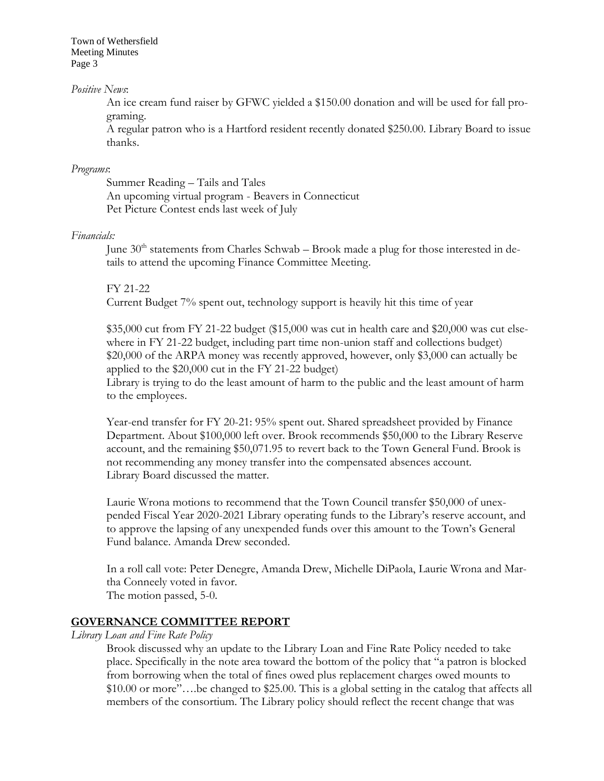Town of Wethersfield Meeting Minutes Page 3

### *Positive News*:

An ice cream fund raiser by GFWC yielded a \$150.00 donation and will be used for fall programing.

A regular patron who is a Hartford resident recently donated \$250.00. Library Board to issue thanks.

#### *Programs*:

Summer Reading – Tails and Tales An upcoming virtual program - Beavers in Connecticut Pet Picture Contest ends last week of July

### *Financials:*

June  $30<sup>th</sup>$  statements from Charles Schwab – Brook made a plug for those interested in details to attend the upcoming Finance Committee Meeting.

#### FY 21-22

Current Budget 7% spent out, technology support is heavily hit this time of year

\$35,000 cut from FY 21-22 budget (\$15,000 was cut in health care and \$20,000 was cut elsewhere in FY 21-22 budget, including part time non-union staff and collections budget) \$20,000 of the ARPA money was recently approved, however, only \$3,000 can actually be applied to the \$20,000 cut in the FY 21-22 budget)

Library is trying to do the least amount of harm to the public and the least amount of harm to the employees.

Year-end transfer for FY 20-21: 95% spent out. Shared spreadsheet provided by Finance Department. About \$100,000 left over. Brook recommends \$50,000 to the Library Reserve account, and the remaining \$50,071.95 to revert back to the Town General Fund. Brook is not recommending any money transfer into the compensated absences account. Library Board discussed the matter.

Laurie Wrona motions to recommend that the Town Council transfer \$50,000 of unexpended Fiscal Year 2020-2021 Library operating funds to the Library's reserve account, and to approve the lapsing of any unexpended funds over this amount to the Town's General Fund balance. Amanda Drew seconded.

In a roll call vote: Peter Denegre, Amanda Drew, Michelle DiPaola, Laurie Wrona and Martha Conneely voted in favor.

The motion passed, 5-0.

### **GOVERNANCE COMMITTEE REPORT**

### *Library Loan and Fine Rate Policy*

Brook discussed why an update to the Library Loan and Fine Rate Policy needed to take place. Specifically in the note area toward the bottom of the policy that "a patron is blocked from borrowing when the total of fines owed plus replacement charges owed mounts to \$10.00 or more"….be changed to \$25.00. This is a global setting in the catalog that affects all members of the consortium. The Library policy should reflect the recent change that was